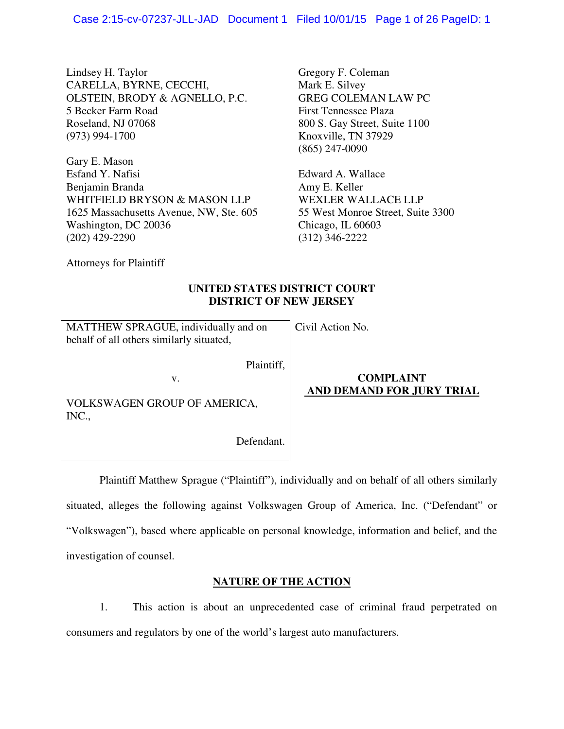Lindsey H. Taylor CARELLA, BYRNE, CECCHI, OLSTEIN, BRODY & AGNELLO, P.C. 5 Becker Farm Road Roseland, NJ 07068 (973) 994-1700

Gary E. Mason Esfand Y. Nafisi Benjamin Branda WHITFIELD BRYSON & MASON LLP 1625 Massachusetts Avenue, NW, Ste. 605 Washington, DC 20036 (202) 429-2290

Gregory F. Coleman Mark E. Silvey GREG COLEMAN LAW PC First Tennessee Plaza 800 S. Gay Street, Suite 1100 Knoxville, TN 37929 (865) 247-0090

Edward A. Wallace Amy E. Keller WEXLER WALLACE LLP 55 West Monroe Street, Suite 3300 Chicago, IL 60603 (312) 346-2222

Attorneys for Plaintiff

# **UNITED STATES DISTRICT COURT DISTRICT OF NEW JERSEY**

| MATTHEW SPRAGUE, individually and on<br>behalf of all others similarly situated, | Civil Action No.                              |
|----------------------------------------------------------------------------------|-----------------------------------------------|
| Plaintiff,<br>v.<br>VOLKSWAGEN GROUP OF AMERICA,<br>INC.,                        | <b>COMPLAINT</b><br>AND DEMAND FOR JURY TRIAL |

Defendant.

 Plaintiff Matthew Sprague ("Plaintiff"), individually and on behalf of all others similarly situated, alleges the following against Volkswagen Group of America, Inc. ("Defendant" or "Volkswagen"), based where applicable on personal knowledge, information and belief, and the investigation of counsel.

# **NATURE OF THE ACTION**

1. This action is about an unprecedented case of criminal fraud perpetrated on consumers and regulators by one of the world's largest auto manufacturers.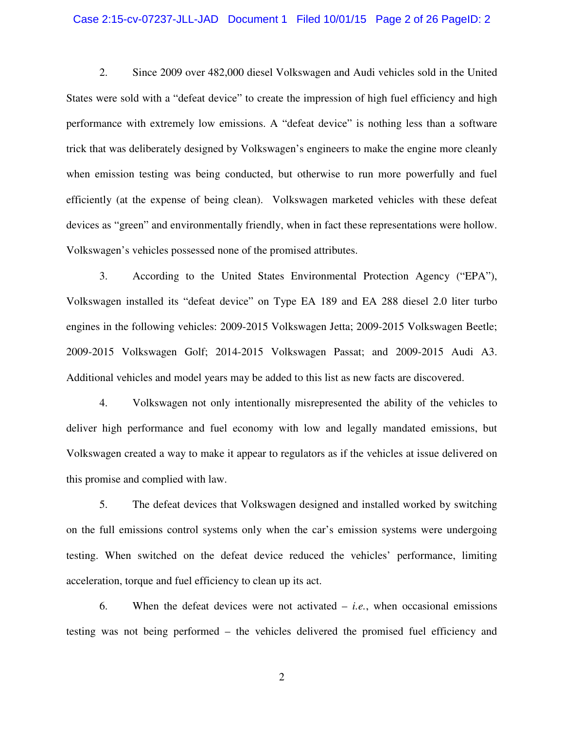#### Case 2:15-cv-07237-JLL-JAD Document 1 Filed 10/01/15 Page 2 of 26 PageID: 2

2. Since 2009 over 482,000 diesel Volkswagen and Audi vehicles sold in the United States were sold with a "defeat device" to create the impression of high fuel efficiency and high performance with extremely low emissions. A "defeat device" is nothing less than a software trick that was deliberately designed by Volkswagen's engineers to make the engine more cleanly when emission testing was being conducted, but otherwise to run more powerfully and fuel efficiently (at the expense of being clean). Volkswagen marketed vehicles with these defeat devices as "green" and environmentally friendly, when in fact these representations were hollow. Volkswagen's vehicles possessed none of the promised attributes.

3. According to the United States Environmental Protection Agency ("EPA"), Volkswagen installed its "defeat device" on Type EA 189 and EA 288 diesel 2.0 liter turbo engines in the following vehicles: 2009-2015 Volkswagen Jetta; 2009-2015 Volkswagen Beetle; 2009-2015 Volkswagen Golf; 2014-2015 Volkswagen Passat; and 2009-2015 Audi A3. Additional vehicles and model years may be added to this list as new facts are discovered.

4. Volkswagen not only intentionally misrepresented the ability of the vehicles to deliver high performance and fuel economy with low and legally mandated emissions, but Volkswagen created a way to make it appear to regulators as if the vehicles at issue delivered on this promise and complied with law.

5. The defeat devices that Volkswagen designed and installed worked by switching on the full emissions control systems only when the car's emission systems were undergoing testing. When switched on the defeat device reduced the vehicles' performance, limiting acceleration, torque and fuel efficiency to clean up its act.

6. When the defeat devices were not activated – *i.e.*, when occasional emissions testing was not being performed – the vehicles delivered the promised fuel efficiency and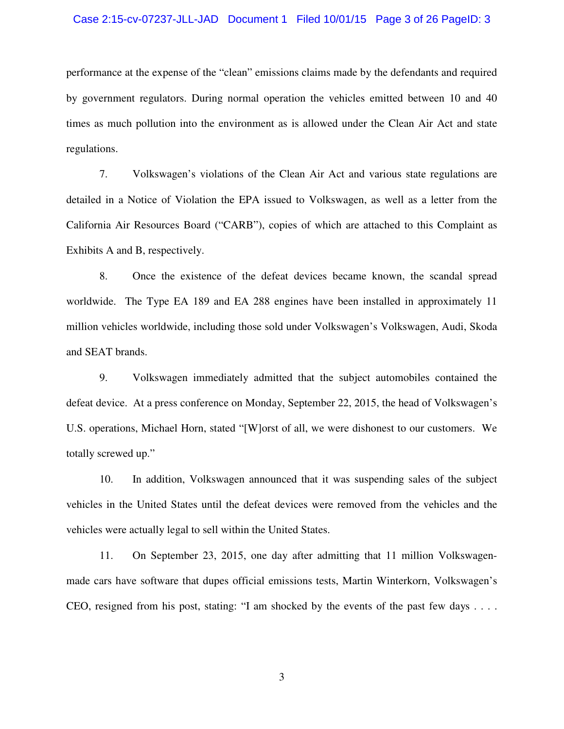#### Case 2:15-cv-07237-JLL-JAD Document 1 Filed 10/01/15 Page 3 of 26 PageID: 3

performance at the expense of the "clean" emissions claims made by the defendants and required by government regulators. During normal operation the vehicles emitted between 10 and 40 times as much pollution into the environment as is allowed under the Clean Air Act and state regulations.

7. Volkswagen's violations of the Clean Air Act and various state regulations are detailed in a Notice of Violation the EPA issued to Volkswagen, as well as a letter from the California Air Resources Board ("CARB"), copies of which are attached to this Complaint as Exhibits A and B, respectively.

8. Once the existence of the defeat devices became known, the scandal spread worldwide. The Type EA 189 and EA 288 engines have been installed in approximately 11 million vehicles worldwide, including those sold under Volkswagen's Volkswagen, Audi, Skoda and SEAT brands.

9. Volkswagen immediately admitted that the subject automobiles contained the defeat device. At a press conference on Monday, September 22, 2015, the head of Volkswagen's U.S. operations, Michael Horn, stated "[W]orst of all, we were dishonest to our customers. We totally screwed up."

10. In addition, Volkswagen announced that it was suspending sales of the subject vehicles in the United States until the defeat devices were removed from the vehicles and the vehicles were actually legal to sell within the United States.

11. On September 23, 2015, one day after admitting that 11 million Volkswagenmade cars have software that dupes official emissions tests, Martin Winterkorn, Volkswagen's CEO, resigned from his post, stating: "I am shocked by the events of the past few days . . . .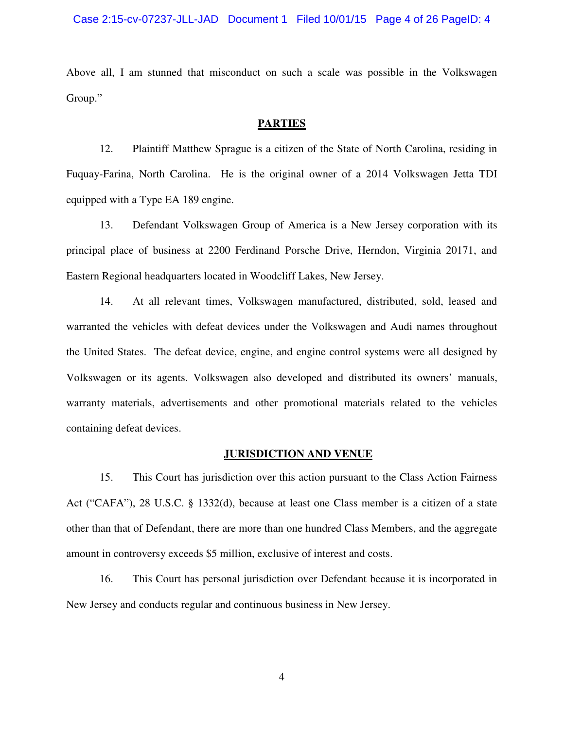#### Case 2:15-cv-07237-JLL-JAD Document 1 Filed 10/01/15 Page 4 of 26 PageID: 4

Above all, I am stunned that misconduct on such a scale was possible in the Volkswagen Group."

#### **PARTIES**

12. Plaintiff Matthew Sprague is a citizen of the State of North Carolina, residing in Fuquay-Farina, North Carolina. He is the original owner of a 2014 Volkswagen Jetta TDI equipped with a Type EA 189 engine.

13. Defendant Volkswagen Group of America is a New Jersey corporation with its principal place of business at 2200 Ferdinand Porsche Drive, Herndon, Virginia 20171, and Eastern Regional headquarters located in Woodcliff Lakes, New Jersey.

14. At all relevant times, Volkswagen manufactured, distributed, sold, leased and warranted the vehicles with defeat devices under the Volkswagen and Audi names throughout the United States. The defeat device, engine, and engine control systems were all designed by Volkswagen or its agents. Volkswagen also developed and distributed its owners' manuals, warranty materials, advertisements and other promotional materials related to the vehicles containing defeat devices.

### **JURISDICTION AND VENUE**

15. This Court has jurisdiction over this action pursuant to the Class Action Fairness Act ("CAFA"), 28 U.S.C. § 1332(d), because at least one Class member is a citizen of a state other than that of Defendant, there are more than one hundred Class Members, and the aggregate amount in controversy exceeds \$5 million, exclusive of interest and costs.

16. This Court has personal jurisdiction over Defendant because it is incorporated in New Jersey and conducts regular and continuous business in New Jersey.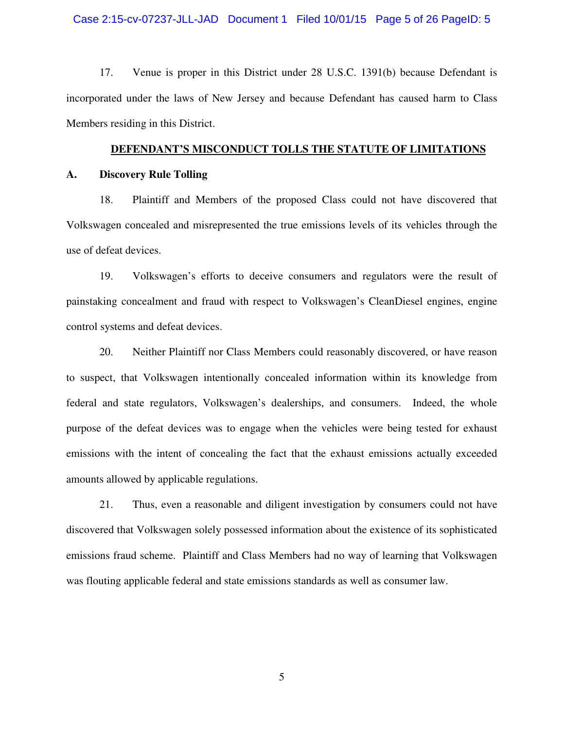#### Case 2:15-cv-07237-JLL-JAD Document 1 Filed 10/01/15 Page 5 of 26 PageID: 5

17. Venue is proper in this District under 28 U.S.C. 1391(b) because Defendant is incorporated under the laws of New Jersey and because Defendant has caused harm to Class Members residing in this District.

#### **DEFENDANT'S MISCONDUCT TOLLS THE STATUTE OF LIMITATIONS**

#### **A. Discovery Rule Tolling**

18. Plaintiff and Members of the proposed Class could not have discovered that Volkswagen concealed and misrepresented the true emissions levels of its vehicles through the use of defeat devices.

19. Volkswagen's efforts to deceive consumers and regulators were the result of painstaking concealment and fraud with respect to Volkswagen's CleanDiesel engines, engine control systems and defeat devices.

20. Neither Plaintiff nor Class Members could reasonably discovered, or have reason to suspect, that Volkswagen intentionally concealed information within its knowledge from federal and state regulators, Volkswagen's dealerships, and consumers. Indeed, the whole purpose of the defeat devices was to engage when the vehicles were being tested for exhaust emissions with the intent of concealing the fact that the exhaust emissions actually exceeded amounts allowed by applicable regulations.

21. Thus, even a reasonable and diligent investigation by consumers could not have discovered that Volkswagen solely possessed information about the existence of its sophisticated emissions fraud scheme. Plaintiff and Class Members had no way of learning that Volkswagen was flouting applicable federal and state emissions standards as well as consumer law.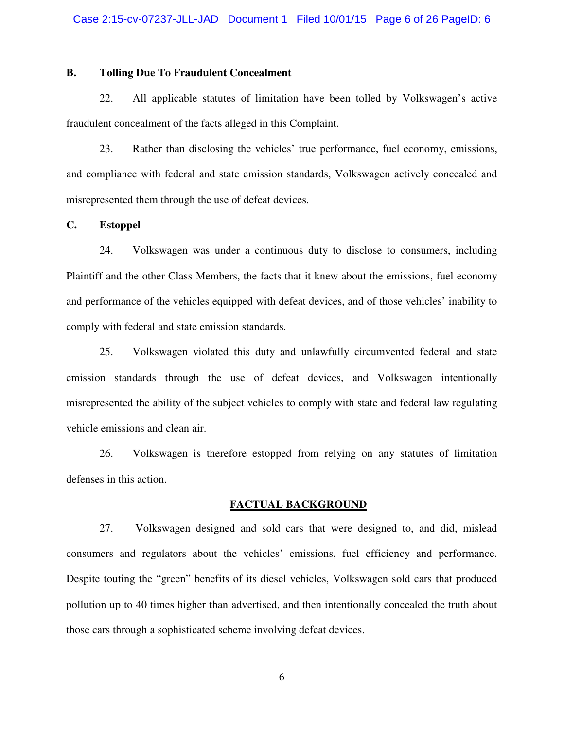## **B. Tolling Due To Fraudulent Concealment**

22. All applicable statutes of limitation have been tolled by Volkswagen's active fraudulent concealment of the facts alleged in this Complaint.

23. Rather than disclosing the vehicles' true performance, fuel economy, emissions, and compliance with federal and state emission standards, Volkswagen actively concealed and misrepresented them through the use of defeat devices.

#### **C. Estoppel**

24. Volkswagen was under a continuous duty to disclose to consumers, including Plaintiff and the other Class Members, the facts that it knew about the emissions, fuel economy and performance of the vehicles equipped with defeat devices, and of those vehicles' inability to comply with federal and state emission standards.

25. Volkswagen violated this duty and unlawfully circumvented federal and state emission standards through the use of defeat devices, and Volkswagen intentionally misrepresented the ability of the subject vehicles to comply with state and federal law regulating vehicle emissions and clean air.

26. Volkswagen is therefore estopped from relying on any statutes of limitation defenses in this action.

#### **FACTUAL BACKGROUND**

27. Volkswagen designed and sold cars that were designed to, and did, mislead consumers and regulators about the vehicles' emissions, fuel efficiency and performance. Despite touting the "green" benefits of its diesel vehicles, Volkswagen sold cars that produced pollution up to 40 times higher than advertised, and then intentionally concealed the truth about those cars through a sophisticated scheme involving defeat devices.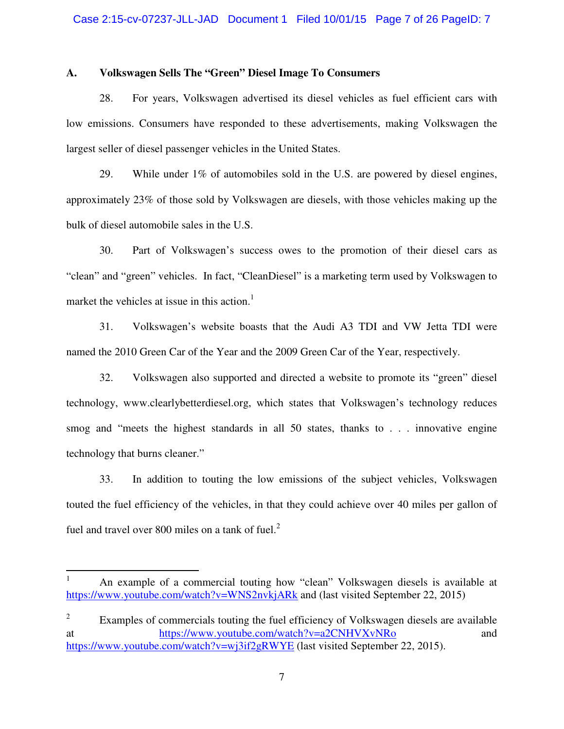#### **A. Volkswagen Sells The "Green" Diesel Image To Consumers**

28. For years, Volkswagen advertised its diesel vehicles as fuel efficient cars with low emissions. Consumers have responded to these advertisements, making Volkswagen the largest seller of diesel passenger vehicles in the United States.

29. While under 1% of automobiles sold in the U.S. are powered by diesel engines, approximately 23% of those sold by Volkswagen are diesels, with those vehicles making up the bulk of diesel automobile sales in the U.S.

30. Part of Volkswagen's success owes to the promotion of their diesel cars as "clean" and "green" vehicles. In fact, "CleanDiesel" is a marketing term used by Volkswagen to market the vehicles at issue in this action.<sup>1</sup>

31. Volkswagen's website boasts that the Audi A3 TDI and VW Jetta TDI were named the 2010 Green Car of the Year and the 2009 Green Car of the Year, respectively.

32. Volkswagen also supported and directed a website to promote its "green" diesel technology, www.clearlybetterdiesel.org, which states that Volkswagen's technology reduces smog and "meets the highest standards in all 50 states, thanks to . . . innovative engine technology that burns cleaner."

33. In addition to touting the low emissions of the subject vehicles, Volkswagen touted the fuel efficiency of the vehicles, in that they could achieve over 40 miles per gallon of fuel and travel over 800 miles on a tank of fuel. $<sup>2</sup>$ </sup>

<u>.</u>

<sup>1</sup> An example of a commercial touting how "clean" Volkswagen diesels is available at https://www.youtube.com/watch?v=WNS2nvkjARk and (last visited September 22, 2015)

<sup>2</sup> Examples of commercials touting the fuel efficiency of Volkswagen diesels are available at https://www.youtube.com/watch?v=a2CNHVXvNRo and https://www.youtube.com/watch?v=wj3if2gRWYE (last visited September 22, 2015).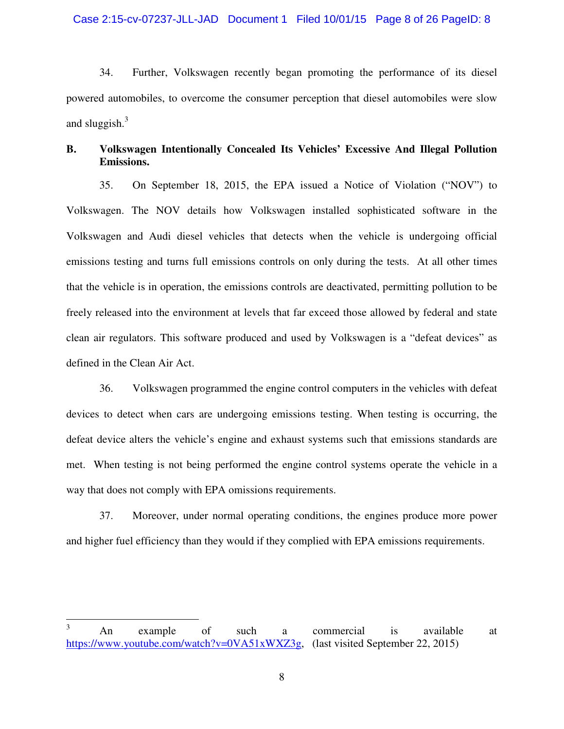#### Case 2:15-cv-07237-JLL-JAD Document 1 Filed 10/01/15 Page 8 of 26 PageID: 8

34. Further, Volkswagen recently began promoting the performance of its diesel powered automobiles, to overcome the consumer perception that diesel automobiles were slow and sluggish. $3$ 

## **B. Volkswagen Intentionally Concealed Its Vehicles' Excessive And Illegal Pollution Emissions.**

35. On September 18, 2015, the EPA issued a Notice of Violation ("NOV") to Volkswagen. The NOV details how Volkswagen installed sophisticated software in the Volkswagen and Audi diesel vehicles that detects when the vehicle is undergoing official emissions testing and turns full emissions controls on only during the tests. At all other times that the vehicle is in operation, the emissions controls are deactivated, permitting pollution to be freely released into the environment at levels that far exceed those allowed by federal and state clean air regulators. This software produced and used by Volkswagen is a "defeat devices" as defined in the Clean Air Act.

36. Volkswagen programmed the engine control computers in the vehicles with defeat devices to detect when cars are undergoing emissions testing. When testing is occurring, the defeat device alters the vehicle's engine and exhaust systems such that emissions standards are met. When testing is not being performed the engine control systems operate the vehicle in a way that does not comply with EPA omissions requirements.

37. Moreover, under normal operating conditions, the engines produce more power and higher fuel efficiency than they would if they complied with EPA emissions requirements.

 $\frac{1}{3}$  An example of such a commercial is available at https://www.youtube.com/watch?v=0VA51xWXZ3g, (last visited September 22, 2015)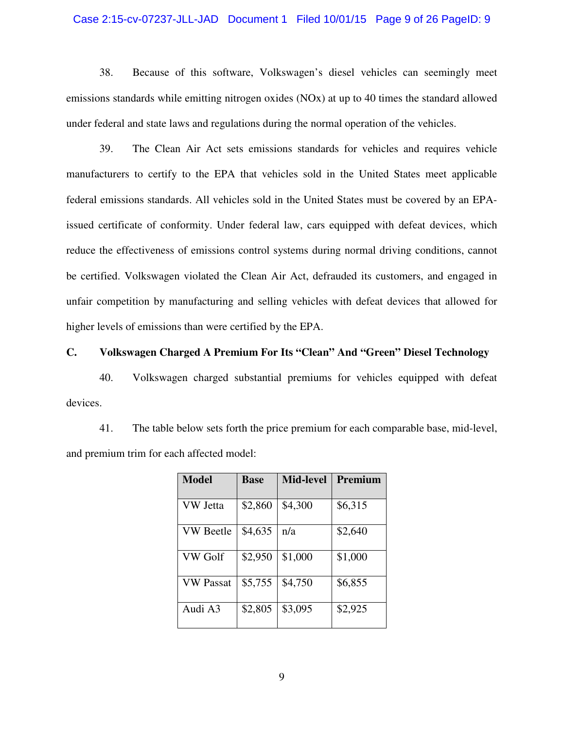#### Case 2:15-cv-07237-JLL-JAD Document 1 Filed 10/01/15 Page 9 of 26 PageID: 9

38. Because of this software, Volkswagen's diesel vehicles can seemingly meet emissions standards while emitting nitrogen oxides (NOx) at up to 40 times the standard allowed under federal and state laws and regulations during the normal operation of the vehicles.

39. The Clean Air Act sets emissions standards for vehicles and requires vehicle manufacturers to certify to the EPA that vehicles sold in the United States meet applicable federal emissions standards. All vehicles sold in the United States must be covered by an EPAissued certificate of conformity. Under federal law, cars equipped with defeat devices, which reduce the effectiveness of emissions control systems during normal driving conditions, cannot be certified. Volkswagen violated the Clean Air Act, defrauded its customers, and engaged in unfair competition by manufacturing and selling vehicles with defeat devices that allowed for higher levels of emissions than were certified by the EPA.

# **C. Volkswagen Charged A Premium For Its "Clean" And "Green" Diesel Technology**

40. Volkswagen charged substantial premiums for vehicles equipped with defeat devices.

41. The table below sets forth the price premium for each comparable base, mid-level, and premium trim for each affected model:

| Model            | <b>Base</b> | <b>Mid-level</b> | Premium |
|------------------|-------------|------------------|---------|
| VW Jetta         | \$2,860     | \$4,300          | \$6,315 |
| <b>VW</b> Beetle | \$4,635     | n/a              | \$2,640 |
| VW Golf          | \$2,950     | \$1,000          | \$1,000 |
| <b>VW Passat</b> | \$5,755     | \$4,750          | \$6,855 |
| Audi A3          | \$2,805     | \$3,095          | \$2,925 |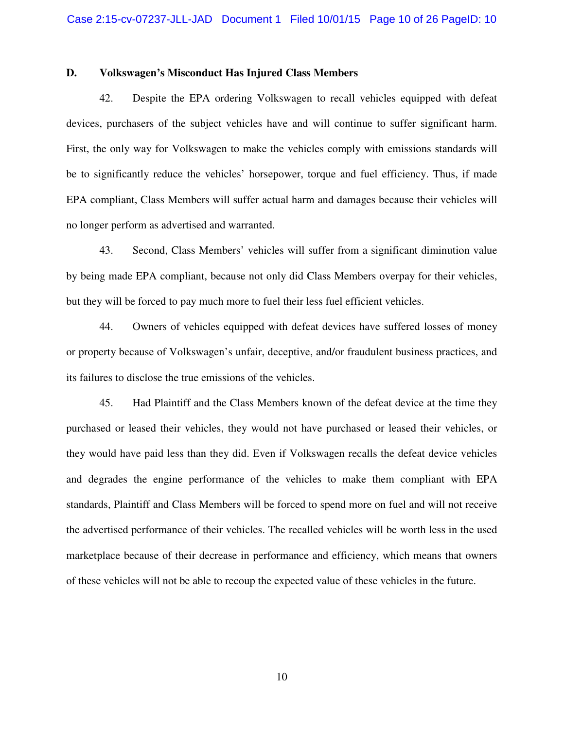#### **D. Volkswagen's Misconduct Has Injured Class Members**

42. Despite the EPA ordering Volkswagen to recall vehicles equipped with defeat devices, purchasers of the subject vehicles have and will continue to suffer significant harm. First, the only way for Volkswagen to make the vehicles comply with emissions standards will be to significantly reduce the vehicles' horsepower, torque and fuel efficiency. Thus, if made EPA compliant, Class Members will suffer actual harm and damages because their vehicles will no longer perform as advertised and warranted.

43. Second, Class Members' vehicles will suffer from a significant diminution value by being made EPA compliant, because not only did Class Members overpay for their vehicles, but they will be forced to pay much more to fuel their less fuel efficient vehicles.

44. Owners of vehicles equipped with defeat devices have suffered losses of money or property because of Volkswagen's unfair, deceptive, and/or fraudulent business practices, and its failures to disclose the true emissions of the vehicles.

45. Had Plaintiff and the Class Members known of the defeat device at the time they purchased or leased their vehicles, they would not have purchased or leased their vehicles, or they would have paid less than they did. Even if Volkswagen recalls the defeat device vehicles and degrades the engine performance of the vehicles to make them compliant with EPA standards, Plaintiff and Class Members will be forced to spend more on fuel and will not receive the advertised performance of their vehicles. The recalled vehicles will be worth less in the used marketplace because of their decrease in performance and efficiency, which means that owners of these vehicles will not be able to recoup the expected value of these vehicles in the future.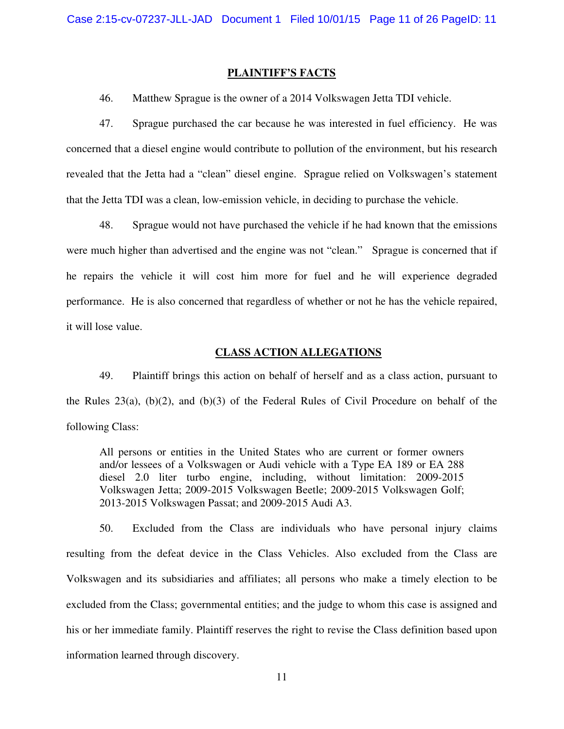#### **PLAINTIFF'S FACTS**

46. Matthew Sprague is the owner of a 2014 Volkswagen Jetta TDI vehicle.

47. Sprague purchased the car because he was interested in fuel efficiency. He was concerned that a diesel engine would contribute to pollution of the environment, but his research revealed that the Jetta had a "clean" diesel engine. Sprague relied on Volkswagen's statement that the Jetta TDI was a clean, low-emission vehicle, in deciding to purchase the vehicle.

48. Sprague would not have purchased the vehicle if he had known that the emissions were much higher than advertised and the engine was not "clean." Sprague is concerned that if he repairs the vehicle it will cost him more for fuel and he will experience degraded performance. He is also concerned that regardless of whether or not he has the vehicle repaired, it will lose value.

#### **CLASS ACTION ALLEGATIONS**

49. Plaintiff brings this action on behalf of herself and as a class action, pursuant to the Rules 23(a), (b)(2), and (b)(3) of the Federal Rules of Civil Procedure on behalf of the following Class:

All persons or entities in the United States who are current or former owners and/or lessees of a Volkswagen or Audi vehicle with a Type EA 189 or EA 288 diesel 2.0 liter turbo engine, including, without limitation: 2009-2015 Volkswagen Jetta; 2009-2015 Volkswagen Beetle; 2009-2015 Volkswagen Golf; 2013-2015 Volkswagen Passat; and 2009-2015 Audi A3.

50. Excluded from the Class are individuals who have personal injury claims resulting from the defeat device in the Class Vehicles. Also excluded from the Class are Volkswagen and its subsidiaries and affiliates; all persons who make a timely election to be excluded from the Class; governmental entities; and the judge to whom this case is assigned and his or her immediate family. Plaintiff reserves the right to revise the Class definition based upon information learned through discovery.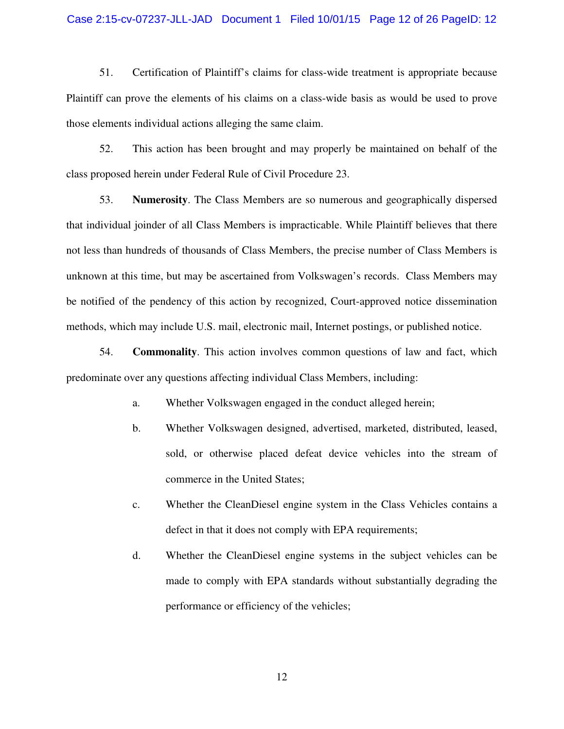#### Case 2:15-cv-07237-JLL-JAD Document 1 Filed 10/01/15 Page 12 of 26 PageID: 12

51. Certification of Plaintiff's claims for class-wide treatment is appropriate because Plaintiff can prove the elements of his claims on a class-wide basis as would be used to prove those elements individual actions alleging the same claim.

52. This action has been brought and may properly be maintained on behalf of the class proposed herein under Federal Rule of Civil Procedure 23.

53. **Numerosity**. The Class Members are so numerous and geographically dispersed that individual joinder of all Class Members is impracticable. While Plaintiff believes that there not less than hundreds of thousands of Class Members, the precise number of Class Members is unknown at this time, but may be ascertained from Volkswagen's records. Class Members may be notified of the pendency of this action by recognized, Court-approved notice dissemination methods, which may include U.S. mail, electronic mail, Internet postings, or published notice.

54. **Commonality**. This action involves common questions of law and fact, which predominate over any questions affecting individual Class Members, including:

- a. Whether Volkswagen engaged in the conduct alleged herein;
- b. Whether Volkswagen designed, advertised, marketed, distributed, leased, sold, or otherwise placed defeat device vehicles into the stream of commerce in the United States;
- c. Whether the CleanDiesel engine system in the Class Vehicles contains a defect in that it does not comply with EPA requirements;
- d. Whether the CleanDiesel engine systems in the subject vehicles can be made to comply with EPA standards without substantially degrading the performance or efficiency of the vehicles;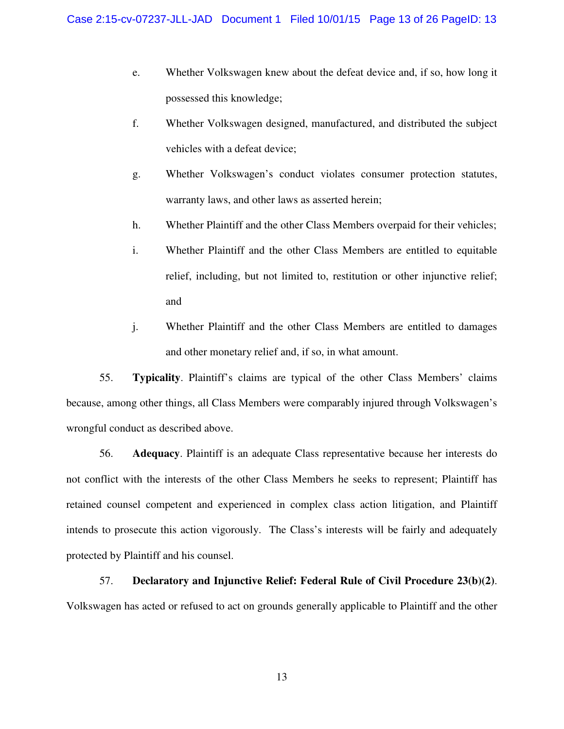- e. Whether Volkswagen knew about the defeat device and, if so, how long it possessed this knowledge;
- f. Whether Volkswagen designed, manufactured, and distributed the subject vehicles with a defeat device;
- g. Whether Volkswagen's conduct violates consumer protection statutes, warranty laws, and other laws as asserted herein;
- h. Whether Plaintiff and the other Class Members overpaid for their vehicles;
- i. Whether Plaintiff and the other Class Members are entitled to equitable relief, including, but not limited to, restitution or other injunctive relief; and
- j. Whether Plaintiff and the other Class Members are entitled to damages and other monetary relief and, if so, in what amount.

55. **Typicality**. Plaintiff's claims are typical of the other Class Members' claims because, among other things, all Class Members were comparably injured through Volkswagen's wrongful conduct as described above.

56. **Adequacy**. Plaintiff is an adequate Class representative because her interests do not conflict with the interests of the other Class Members he seeks to represent; Plaintiff has retained counsel competent and experienced in complex class action litigation, and Plaintiff intends to prosecute this action vigorously. The Class's interests will be fairly and adequately protected by Plaintiff and his counsel.

57. **Declaratory and Injunctive Relief: Federal Rule of Civil Procedure 23(b)(2)**. Volkswagen has acted or refused to act on grounds generally applicable to Plaintiff and the other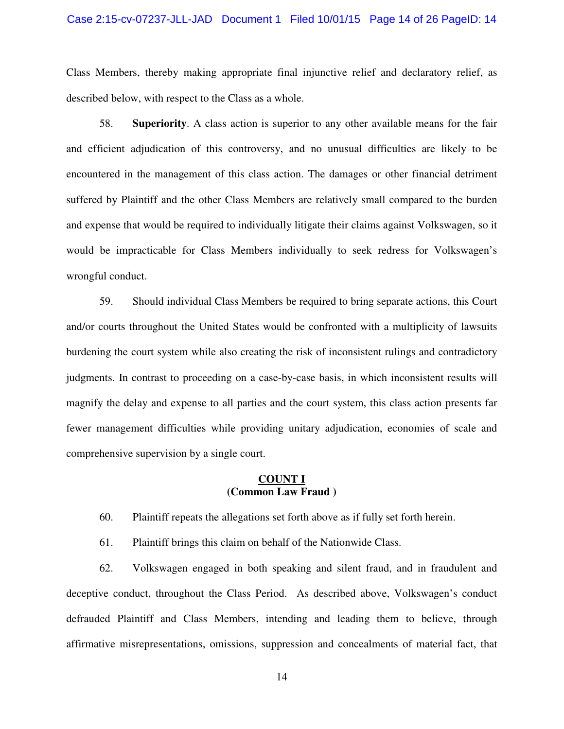#### Case 2:15-cv-07237-JLL-JAD Document 1 Filed 10/01/15 Page 14 of 26 PageID: 14

Class Members, thereby making appropriate final injunctive relief and declaratory relief, as described below, with respect to the Class as a whole.

58. **Superiority**. A class action is superior to any other available means for the fair and efficient adjudication of this controversy, and no unusual difficulties are likely to be encountered in the management of this class action. The damages or other financial detriment suffered by Plaintiff and the other Class Members are relatively small compared to the burden and expense that would be required to individually litigate their claims against Volkswagen, so it would be impracticable for Class Members individually to seek redress for Volkswagen's wrongful conduct.

59. Should individual Class Members be required to bring separate actions, this Court and/or courts throughout the United States would be confronted with a multiplicity of lawsuits burdening the court system while also creating the risk of inconsistent rulings and contradictory judgments. In contrast to proceeding on a case-by-case basis, in which inconsistent results will magnify the delay and expense to all parties and the court system, this class action presents far fewer management difficulties while providing unitary adjudication, economies of scale and comprehensive supervision by a single court.

### **COUNT I (Common Law Fraud )**

60. Plaintiff repeats the allegations set forth above as if fully set forth herein.

61. Plaintiff brings this claim on behalf of the Nationwide Class.

62. Volkswagen engaged in both speaking and silent fraud, and in fraudulent and deceptive conduct, throughout the Class Period. As described above, Volkswagen's conduct defrauded Plaintiff and Class Members, intending and leading them to believe, through affirmative misrepresentations, omissions, suppression and concealments of material fact, that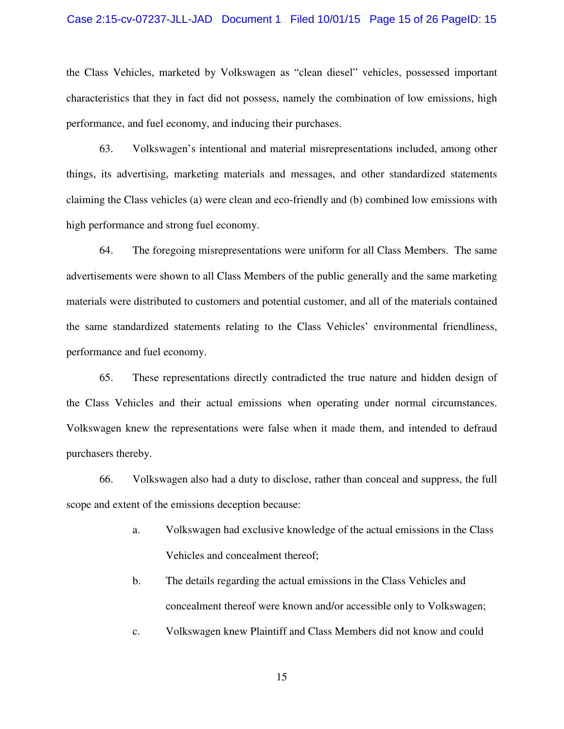#### Case 2:15-cv-07237-JLL-JAD Document 1 Filed 10/01/15 Page 15 of 26 PageID: 15

the Class Vehicles, marketed by Volkswagen as "clean diesel" vehicles, possessed important characteristics that they in fact did not possess, namely the combination of low emissions, high performance, and fuel economy, and inducing their purchases.

63. Volkswagen's intentional and material misrepresentations included, among other things, its advertising, marketing materials and messages, and other standardized statements claiming the Class vehicles (a) were clean and eco-friendly and (b) combined low emissions with high performance and strong fuel economy.

64. The foregoing misrepresentations were uniform for all Class Members. The same advertisements were shown to all Class Members of the public generally and the same marketing materials were distributed to customers and potential customer, and all of the materials contained the same standardized statements relating to the Class Vehicles' environmental friendliness, performance and fuel economy.

65. These representations directly contradicted the true nature and hidden design of the Class Vehicles and their actual emissions when operating under normal circumstances. Volkswagen knew the representations were false when it made them, and intended to defraud purchasers thereby.

66. Volkswagen also had a duty to disclose, rather than conceal and suppress, the full scope and extent of the emissions deception because:

- a. Volkswagen had exclusive knowledge of the actual emissions in the Class Vehicles and concealment thereof;
- b. The details regarding the actual emissions in the Class Vehicles and concealment thereof were known and/or accessible only to Volkswagen;
- c. Volkswagen knew Plaintiff and Class Members did not know and could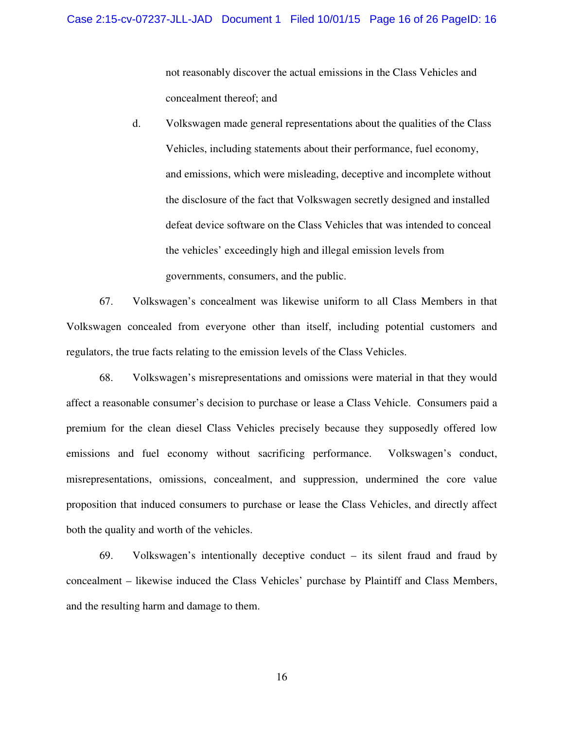not reasonably discover the actual emissions in the Class Vehicles and concealment thereof; and

d. Volkswagen made general representations about the qualities of the Class Vehicles, including statements about their performance, fuel economy, and emissions, which were misleading, deceptive and incomplete without the disclosure of the fact that Volkswagen secretly designed and installed defeat device software on the Class Vehicles that was intended to conceal the vehicles' exceedingly high and illegal emission levels from governments, consumers, and the public.

67. Volkswagen's concealment was likewise uniform to all Class Members in that Volkswagen concealed from everyone other than itself, including potential customers and regulators, the true facts relating to the emission levels of the Class Vehicles.

68. Volkswagen's misrepresentations and omissions were material in that they would affect a reasonable consumer's decision to purchase or lease a Class Vehicle. Consumers paid a premium for the clean diesel Class Vehicles precisely because they supposedly offered low emissions and fuel economy without sacrificing performance. Volkswagen's conduct, misrepresentations, omissions, concealment, and suppression, undermined the core value proposition that induced consumers to purchase or lease the Class Vehicles, and directly affect both the quality and worth of the vehicles.

69. Volkswagen's intentionally deceptive conduct – its silent fraud and fraud by concealment – likewise induced the Class Vehicles' purchase by Plaintiff and Class Members, and the resulting harm and damage to them.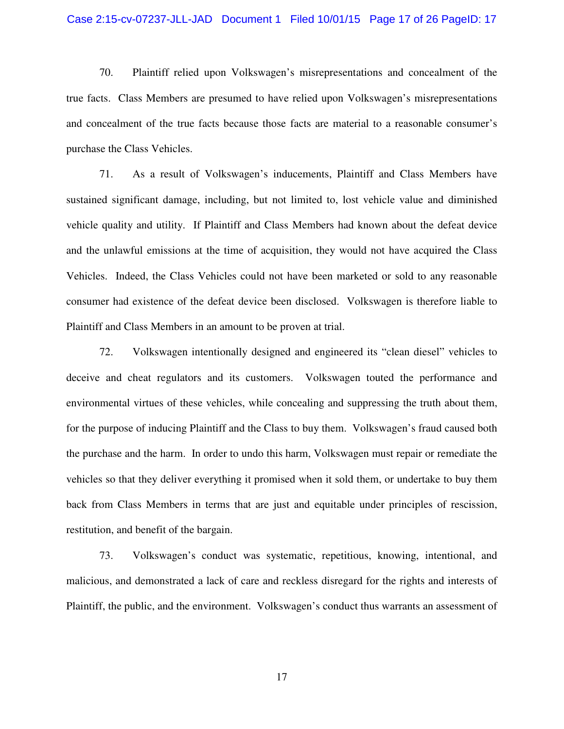#### Case 2:15-cv-07237-JLL-JAD Document 1 Filed 10/01/15 Page 17 of 26 PageID: 17

70. Plaintiff relied upon Volkswagen's misrepresentations and concealment of the true facts. Class Members are presumed to have relied upon Volkswagen's misrepresentations and concealment of the true facts because those facts are material to a reasonable consumer's purchase the Class Vehicles.

71. As a result of Volkswagen's inducements, Plaintiff and Class Members have sustained significant damage, including, but not limited to, lost vehicle value and diminished vehicle quality and utility. If Plaintiff and Class Members had known about the defeat device and the unlawful emissions at the time of acquisition, they would not have acquired the Class Vehicles. Indeed, the Class Vehicles could not have been marketed or sold to any reasonable consumer had existence of the defeat device been disclosed. Volkswagen is therefore liable to Plaintiff and Class Members in an amount to be proven at trial.

72. Volkswagen intentionally designed and engineered its "clean diesel" vehicles to deceive and cheat regulators and its customers. Volkswagen touted the performance and environmental virtues of these vehicles, while concealing and suppressing the truth about them, for the purpose of inducing Plaintiff and the Class to buy them. Volkswagen's fraud caused both the purchase and the harm. In order to undo this harm, Volkswagen must repair or remediate the vehicles so that they deliver everything it promised when it sold them, or undertake to buy them back from Class Members in terms that are just and equitable under principles of rescission, restitution, and benefit of the bargain.

73. Volkswagen's conduct was systematic, repetitious, knowing, intentional, and malicious, and demonstrated a lack of care and reckless disregard for the rights and interests of Plaintiff, the public, and the environment. Volkswagen's conduct thus warrants an assessment of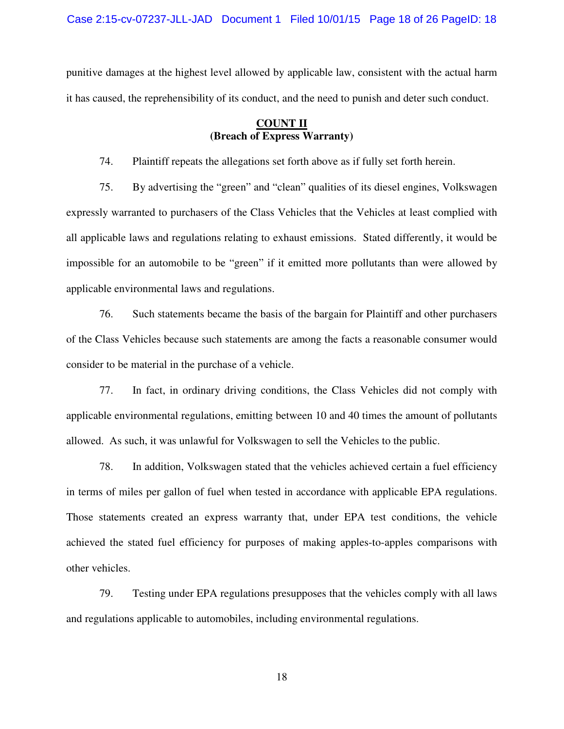Case 2:15-cv-07237-JLL-JAD Document 1 Filed 10/01/15 Page 18 of 26 PageID: 18

punitive damages at the highest level allowed by applicable law, consistent with the actual harm it has caused, the reprehensibility of its conduct, and the need to punish and deter such conduct.

## **COUNT II (Breach of Express Warranty)**

74. Plaintiff repeats the allegations set forth above as if fully set forth herein.

75. By advertising the "green" and "clean" qualities of its diesel engines, Volkswagen expressly warranted to purchasers of the Class Vehicles that the Vehicles at least complied with all applicable laws and regulations relating to exhaust emissions. Stated differently, it would be impossible for an automobile to be "green" if it emitted more pollutants than were allowed by applicable environmental laws and regulations.

76. Such statements became the basis of the bargain for Plaintiff and other purchasers of the Class Vehicles because such statements are among the facts a reasonable consumer would consider to be material in the purchase of a vehicle.

77. In fact, in ordinary driving conditions, the Class Vehicles did not comply with applicable environmental regulations, emitting between 10 and 40 times the amount of pollutants allowed. As such, it was unlawful for Volkswagen to sell the Vehicles to the public.

78. In addition, Volkswagen stated that the vehicles achieved certain a fuel efficiency in terms of miles per gallon of fuel when tested in accordance with applicable EPA regulations. Those statements created an express warranty that, under EPA test conditions, the vehicle achieved the stated fuel efficiency for purposes of making apples-to-apples comparisons with other vehicles.

79. Testing under EPA regulations presupposes that the vehicles comply with all laws and regulations applicable to automobiles, including environmental regulations.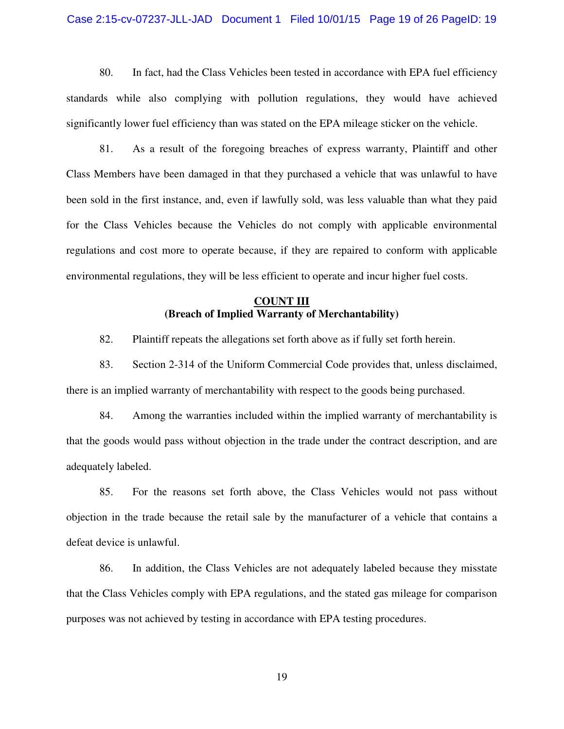#### Case 2:15-cv-07237-JLL-JAD Document 1 Filed 10/01/15 Page 19 of 26 PageID: 19

80. In fact, had the Class Vehicles been tested in accordance with EPA fuel efficiency standards while also complying with pollution regulations, they would have achieved significantly lower fuel efficiency than was stated on the EPA mileage sticker on the vehicle.

81. As a result of the foregoing breaches of express warranty, Plaintiff and other Class Members have been damaged in that they purchased a vehicle that was unlawful to have been sold in the first instance, and, even if lawfully sold, was less valuable than what they paid for the Class Vehicles because the Vehicles do not comply with applicable environmental regulations and cost more to operate because, if they are repaired to conform with applicable environmental regulations, they will be less efficient to operate and incur higher fuel costs.

## **COUNT III (Breach of Implied Warranty of Merchantability)**

82. Plaintiff repeats the allegations set forth above as if fully set forth herein.

83. Section 2-314 of the Uniform Commercial Code provides that, unless disclaimed, there is an implied warranty of merchantability with respect to the goods being purchased.

84. Among the warranties included within the implied warranty of merchantability is that the goods would pass without objection in the trade under the contract description, and are adequately labeled.

85. For the reasons set forth above, the Class Vehicles would not pass without objection in the trade because the retail sale by the manufacturer of a vehicle that contains a defeat device is unlawful.

86. In addition, the Class Vehicles are not adequately labeled because they misstate that the Class Vehicles comply with EPA regulations, and the stated gas mileage for comparison purposes was not achieved by testing in accordance with EPA testing procedures.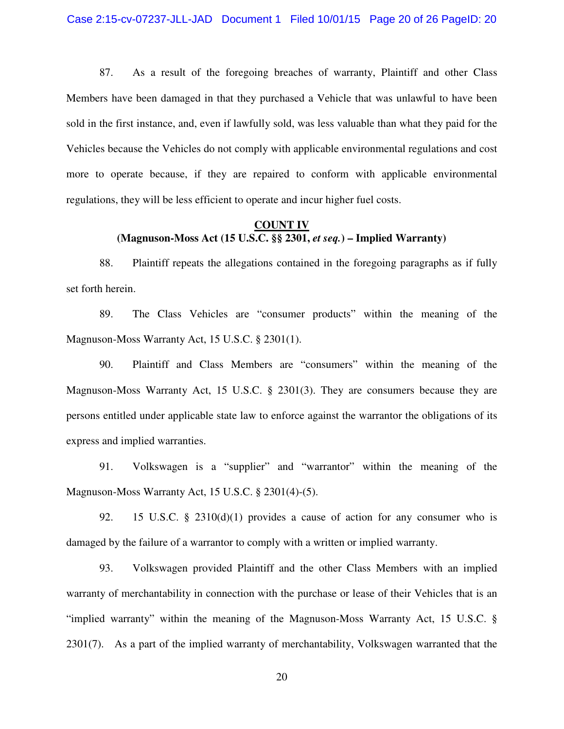87. As a result of the foregoing breaches of warranty, Plaintiff and other Class Members have been damaged in that they purchased a Vehicle that was unlawful to have been sold in the first instance, and, even if lawfully sold, was less valuable than what they paid for the Vehicles because the Vehicles do not comply with applicable environmental regulations and cost more to operate because, if they are repaired to conform with applicable environmental regulations, they will be less efficient to operate and incur higher fuel costs.

## **COUNT IV (Magnuson-Moss Act (15 U.S.C. §§ 2301,** *et seq.***) – Implied Warranty)**

88. Plaintiff repeats the allegations contained in the foregoing paragraphs as if fully set forth herein.

89. The Class Vehicles are "consumer products" within the meaning of the Magnuson-Moss Warranty Act, 15 U.S.C. § 2301(1).

90. Plaintiff and Class Members are "consumers" within the meaning of the Magnuson-Moss Warranty Act, 15 U.S.C. § 2301(3). They are consumers because they are persons entitled under applicable state law to enforce against the warrantor the obligations of its express and implied warranties.

91. Volkswagen is a "supplier" and "warrantor" within the meaning of the Magnuson-Moss Warranty Act, 15 U.S.C. § 2301(4)-(5).

92. 15 U.S.C. § 2310(d)(1) provides a cause of action for any consumer who is damaged by the failure of a warrantor to comply with a written or implied warranty.

93. Volkswagen provided Plaintiff and the other Class Members with an implied warranty of merchantability in connection with the purchase or lease of their Vehicles that is an "implied warranty" within the meaning of the Magnuson-Moss Warranty Act, 15 U.S.C. § 2301(7). As a part of the implied warranty of merchantability, Volkswagen warranted that the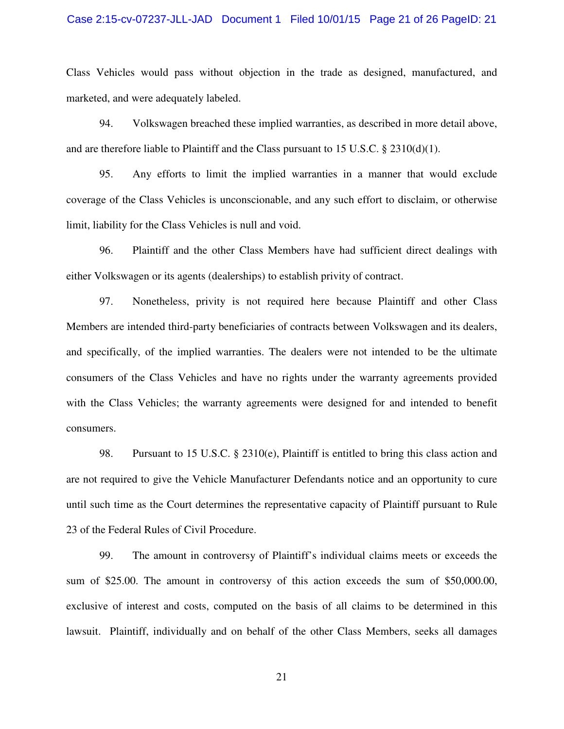#### Case 2:15-cv-07237-JLL-JAD Document 1 Filed 10/01/15 Page 21 of 26 PageID: 21

Class Vehicles would pass without objection in the trade as designed, manufactured, and marketed, and were adequately labeled.

94. Volkswagen breached these implied warranties, as described in more detail above, and are therefore liable to Plaintiff and the Class pursuant to 15 U.S.C. § 2310(d)(1).

95. Any efforts to limit the implied warranties in a manner that would exclude coverage of the Class Vehicles is unconscionable, and any such effort to disclaim, or otherwise limit, liability for the Class Vehicles is null and void.

96. Plaintiff and the other Class Members have had sufficient direct dealings with either Volkswagen or its agents (dealerships) to establish privity of contract.

97. Nonetheless, privity is not required here because Plaintiff and other Class Members are intended third-party beneficiaries of contracts between Volkswagen and its dealers, and specifically, of the implied warranties. The dealers were not intended to be the ultimate consumers of the Class Vehicles and have no rights under the warranty agreements provided with the Class Vehicles; the warranty agreements were designed for and intended to benefit consumers.

98. Pursuant to 15 U.S.C. § 2310(e), Plaintiff is entitled to bring this class action and are not required to give the Vehicle Manufacturer Defendants notice and an opportunity to cure until such time as the Court determines the representative capacity of Plaintiff pursuant to Rule 23 of the Federal Rules of Civil Procedure.

99. The amount in controversy of Plaintiff's individual claims meets or exceeds the sum of \$25.00. The amount in controversy of this action exceeds the sum of \$50,000.00, exclusive of interest and costs, computed on the basis of all claims to be determined in this lawsuit. Plaintiff, individually and on behalf of the other Class Members, seeks all damages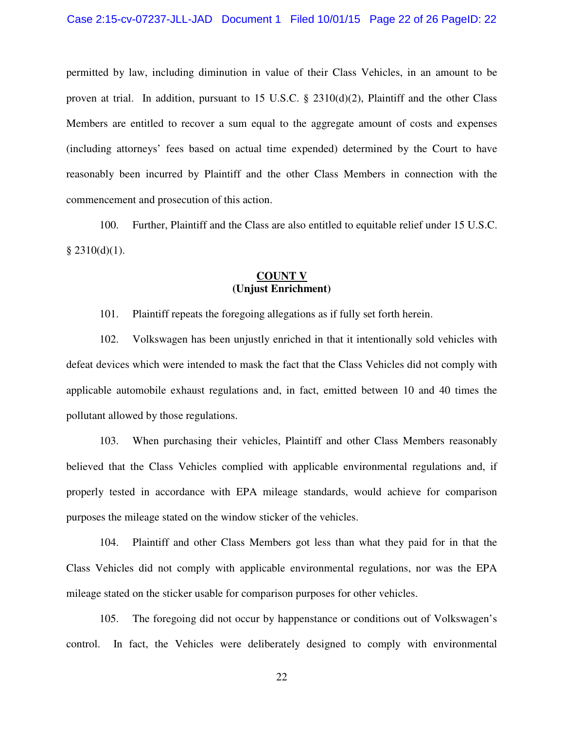permitted by law, including diminution in value of their Class Vehicles, in an amount to be proven at trial. In addition, pursuant to 15 U.S.C. § 2310(d)(2), Plaintiff and the other Class Members are entitled to recover a sum equal to the aggregate amount of costs and expenses (including attorneys' fees based on actual time expended) determined by the Court to have reasonably been incurred by Plaintiff and the other Class Members in connection with the commencement and prosecution of this action.

100. Further, Plaintiff and the Class are also entitled to equitable relief under 15 U.S.C.  $§$  2310(d)(1).

#### **COUNT V (Unjust Enrichment)**

101. Plaintiff repeats the foregoing allegations as if fully set forth herein.

102. Volkswagen has been unjustly enriched in that it intentionally sold vehicles with defeat devices which were intended to mask the fact that the Class Vehicles did not comply with applicable automobile exhaust regulations and, in fact, emitted between 10 and 40 times the pollutant allowed by those regulations.

103. When purchasing their vehicles, Plaintiff and other Class Members reasonably believed that the Class Vehicles complied with applicable environmental regulations and, if properly tested in accordance with EPA mileage standards, would achieve for comparison purposes the mileage stated on the window sticker of the vehicles.

104. Plaintiff and other Class Members got less than what they paid for in that the Class Vehicles did not comply with applicable environmental regulations, nor was the EPA mileage stated on the sticker usable for comparison purposes for other vehicles.

105. The foregoing did not occur by happenstance or conditions out of Volkswagen's control. In fact, the Vehicles were deliberately designed to comply with environmental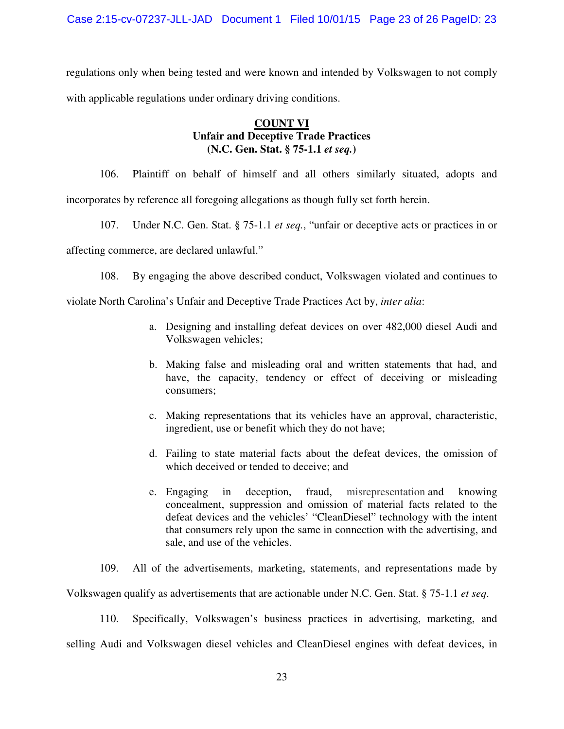regulations only when being tested and were known and intended by Volkswagen to not comply with applicable regulations under ordinary driving conditions.

## **COUNT VI Unfair and Deceptive Trade Practices (N.C. Gen. Stat. § 75-1.1** *et seq.***)**

106. Plaintiff on behalf of himself and all others similarly situated, adopts and incorporates by reference all foregoing allegations as though fully set forth herein.

107. Under N.C. Gen. Stat. § 75-1.1 *et seq.*, "unfair or deceptive acts or practices in or

affecting commerce, are declared unlawful."

108. By engaging the above described conduct, Volkswagen violated and continues to

violate North Carolina's Unfair and Deceptive Trade Practices Act by, *inter alia*:

- a. Designing and installing defeat devices on over 482,000 diesel Audi and Volkswagen vehicles;
- b. Making false and misleading oral and written statements that had, and have, the capacity, tendency or effect of deceiving or misleading consumers;
- c. Making representations that its vehicles have an approval, characteristic, ingredient, use or benefit which they do not have;
- d. Failing to state material facts about the defeat devices, the omission of which deceived or tended to deceive; and
- e. Engaging in deception, fraud, misrepresentation and knowing concealment, suppression and omission of material facts related to the defeat devices and the vehicles' "CleanDiesel" technology with the intent that consumers rely upon the same in connection with the advertising, and sale, and use of the vehicles.
- 109. All of the advertisements, marketing, statements, and representations made by

Volkswagen qualify as advertisements that are actionable under N.C. Gen. Stat. § 75-1.1 *et seq*.

110. Specifically, Volkswagen's business practices in advertising, marketing, and

selling Audi and Volkswagen diesel vehicles and CleanDiesel engines with defeat devices, in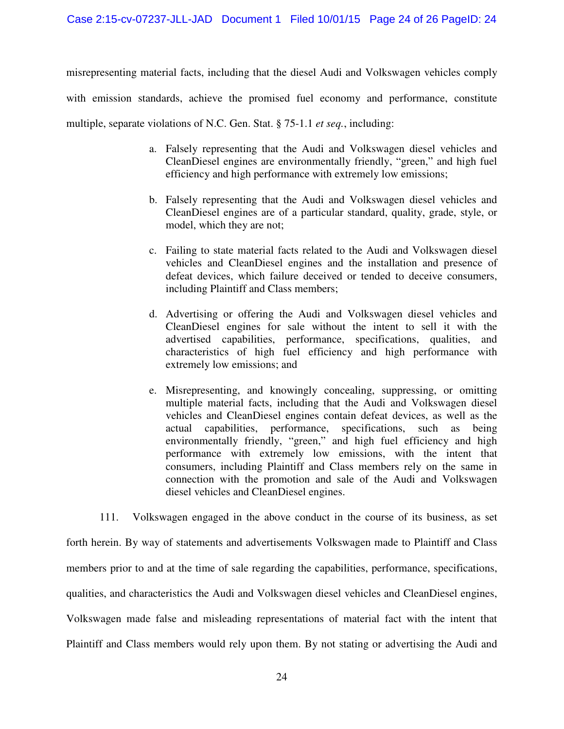misrepresenting material facts, including that the diesel Audi and Volkswagen vehicles comply with emission standards, achieve the promised fuel economy and performance, constitute multiple, separate violations of N.C. Gen. Stat. § 75-1.1 *et seq.*, including:

- a. Falsely representing that the Audi and Volkswagen diesel vehicles and CleanDiesel engines are environmentally friendly, "green," and high fuel efficiency and high performance with extremely low emissions;
- b. Falsely representing that the Audi and Volkswagen diesel vehicles and CleanDiesel engines are of a particular standard, quality, grade, style, or model, which they are not;
- c. Failing to state material facts related to the Audi and Volkswagen diesel vehicles and CleanDiesel engines and the installation and presence of defeat devices, which failure deceived or tended to deceive consumers, including Plaintiff and Class members;
- d. Advertising or offering the Audi and Volkswagen diesel vehicles and CleanDiesel engines for sale without the intent to sell it with the advertised capabilities, performance, specifications, qualities, and characteristics of high fuel efficiency and high performance with extremely low emissions; and
- e. Misrepresenting, and knowingly concealing, suppressing, or omitting multiple material facts, including that the Audi and Volkswagen diesel vehicles and CleanDiesel engines contain defeat devices, as well as the actual capabilities, performance, specifications, such as being environmentally friendly, "green," and high fuel efficiency and high performance with extremely low emissions, with the intent that consumers, including Plaintiff and Class members rely on the same in connection with the promotion and sale of the Audi and Volkswagen diesel vehicles and CleanDiesel engines.

111. Volkswagen engaged in the above conduct in the course of its business, as set forth herein. By way of statements and advertisements Volkswagen made to Plaintiff and Class members prior to and at the time of sale regarding the capabilities, performance, specifications, qualities, and characteristics the Audi and Volkswagen diesel vehicles and CleanDiesel engines, Volkswagen made false and misleading representations of material fact with the intent that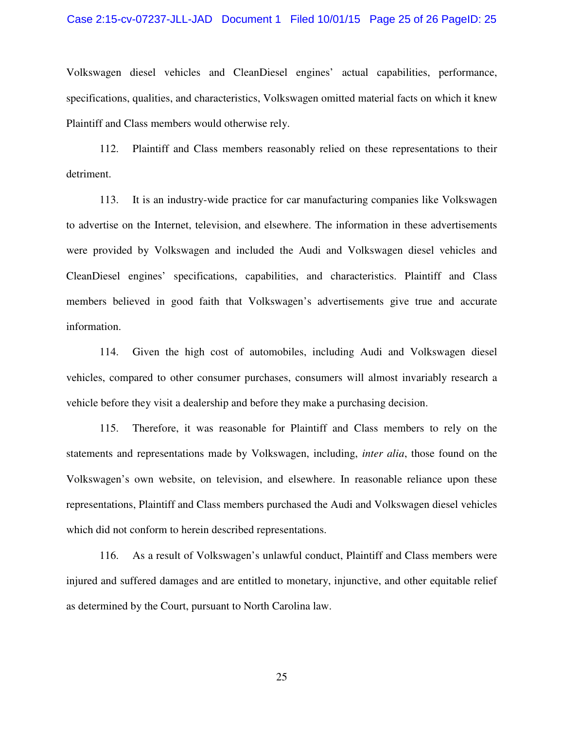#### Case 2:15-cv-07237-JLL-JAD Document 1 Filed 10/01/15 Page 25 of 26 PageID: 25

Volkswagen diesel vehicles and CleanDiesel engines' actual capabilities, performance, specifications, qualities, and characteristics, Volkswagen omitted material facts on which it knew Plaintiff and Class members would otherwise rely.

112. Plaintiff and Class members reasonably relied on these representations to their detriment.

113. It is an industry-wide practice for car manufacturing companies like Volkswagen to advertise on the Internet, television, and elsewhere. The information in these advertisements were provided by Volkswagen and included the Audi and Volkswagen diesel vehicles and CleanDiesel engines' specifications, capabilities, and characteristics. Plaintiff and Class members believed in good faith that Volkswagen's advertisements give true and accurate information.

114. Given the high cost of automobiles, including Audi and Volkswagen diesel vehicles, compared to other consumer purchases, consumers will almost invariably research a vehicle before they visit a dealership and before they make a purchasing decision.

115. Therefore, it was reasonable for Plaintiff and Class members to rely on the statements and representations made by Volkswagen, including, *inter alia*, those found on the Volkswagen's own website, on television, and elsewhere. In reasonable reliance upon these representations, Plaintiff and Class members purchased the Audi and Volkswagen diesel vehicles which did not conform to herein described representations.

116. As a result of Volkswagen's unlawful conduct, Plaintiff and Class members were injured and suffered damages and are entitled to monetary, injunctive, and other equitable relief as determined by the Court, pursuant to North Carolina law.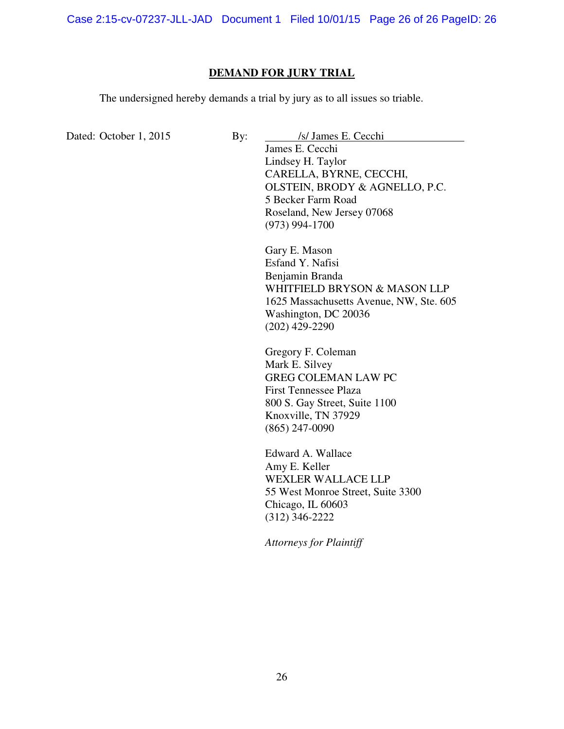Case 2:15-cv-07237-JLL-JAD Document 1 Filed 10/01/15 Page 26 of 26 PageID: 26

# **DEMAND FOR JURY TRIAL**

The undersigned hereby demands a trial by jury as to all issues so triable.

| Dated: October 1, 2015 | By: | /s/ James E. Cecchi                             |  |
|------------------------|-----|-------------------------------------------------|--|
|                        |     | James E. Cecchi                                 |  |
|                        |     | Lindsey H. Taylor                               |  |
|                        |     | CARELLA, BYRNE, CECCHI,                         |  |
|                        |     | OLSTEIN, BRODY & AGNELLO, P.C.                  |  |
|                        |     | 5 Becker Farm Road                              |  |
|                        |     | Roseland, New Jersey 07068                      |  |
|                        |     | $(973)$ 994-1700                                |  |
|                        |     | Gary E. Mason                                   |  |
|                        |     | Esfand Y. Nafisi                                |  |
|                        |     |                                                 |  |
|                        |     | Benjamin Branda<br>WHITFIELD BRYSON & MASON LLP |  |
|                        |     |                                                 |  |
|                        |     | 1625 Massachusetts Avenue, NW, Ste. 605         |  |
|                        |     | Washington, DC 20036                            |  |
|                        |     | $(202)$ 429-2290                                |  |
|                        |     | Gregory F. Coleman                              |  |
|                        |     | Mark E. Silvey                                  |  |
|                        |     | <b>GREG COLEMAN LAW PC</b>                      |  |
|                        |     | <b>First Tennessee Plaza</b>                    |  |
|                        |     | 800 S. Gay Street, Suite 1100                   |  |
|                        |     | Knoxville, TN 37929                             |  |
|                        |     | $(865)$ 247-0090                                |  |
|                        |     | Edward A. Wallace                               |  |
|                        |     | Amy E. Keller                                   |  |
|                        |     | <b>WEXLER WALLACE LLP</b>                       |  |
|                        |     | 55 West Monroe Street, Suite 3300               |  |
|                        |     | Chicago, IL 60603                               |  |
|                        |     | $(312)$ 346-2222                                |  |
|                        |     |                                                 |  |
|                        |     | <b>Attorneys for Plaintiff</b>                  |  |
|                        |     |                                                 |  |
|                        |     |                                                 |  |
|                        |     |                                                 |  |